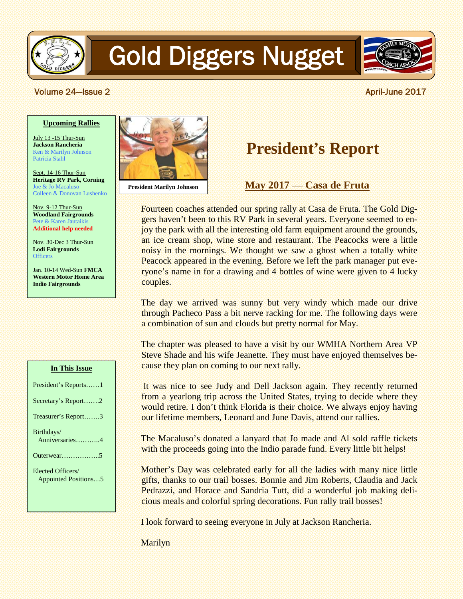

# Gold Diggers Nugget



#### **The Volume 24—Issue 2 April-June 2017**

#### **Upcoming Rallies**

July 13 -15 Thur-Sun **Jackson Rancheria** Ken & Marilyn Johnson Patricia Stahl

Sept. 14-16 Thur-Sun **Heritage RV Park, Corning** Joe & Jo Macaluso Colleen & Donovan Lushenko

Nov. 9-12 Thur-Sun **Woodland Fairgrounds** Pete & Karen Jautaikis **Additional help needed**

Nov. 30-Dec 3 Thur-Sun **Lodi Fairgrounds Officers** 

Jan. 10-14 Wed-Sun **FMCA Western Motor Home Area Indio Fairgrounds**

#### **In This Issue**

| President's Reports1 |
|----------------------|
| Secretary's Report2  |
| Treasurer's Report3  |
| Birthdays/           |
| Anniversaries4       |
|                      |
| Elected Officers/    |
| Appointed Positions5 |
|                      |



**President Marilyn Johnson**

## **President's Report**

**May 2017** — **Casa de Fruta**

Fourteen coaches attended our spring rally at Casa de Fruta. The Gold Diggers haven't been to this RV Park in several years. Everyone seemed to enjoy the park with all the interesting old farm equipment around the grounds, an ice cream shop, wine store and restaurant. The Peacocks were a little noisy in the mornings. We thought we saw a ghost when a totally white Peacock appeared in the evening. Before we left the park manager put everyone's name in for a drawing and 4 bottles of wine were given to 4 lucky couples.

The day we arrived was sunny but very windy which made our drive through Pacheco Pass a bit nerve racking for me. The following days were a combination of sun and clouds but pretty normal for May.

The chapter was pleased to have a visit by our WMHA Northern Area VP Steve Shade and his wife Jeanette. They must have enjoyed themselves because they plan on coming to our next rally.

It was nice to see Judy and Dell Jackson again. They recently returned from a yearlong trip across the United States, trying to decide where they would retire. I don't think Florida is their choice. We always enjoy having our lifetime members, Leonard and June Davis, attend our rallies.

The Macaluso's donated a lanyard that Jo made and Al sold raffle tickets with the proceeds going into the Indio parade fund. Every little bit helps!

Mother's Day was celebrated early for all the ladies with many nice little gifts, thanks to our trail bosses. Bonnie and Jim Roberts, Claudia and Jack Pedrazzi, and Horace and Sandria Tutt, did a wonderful job making delicious meals and colorful spring decorations. Fun rally trail bosses!

I look forward to seeing everyone in July at Jackson Rancheria.

Marilyn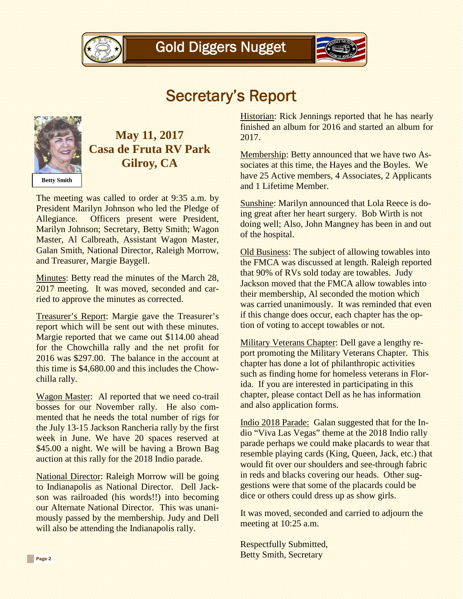



### Secretary's Report



### **May 11, 2017 Casa de Fruta RV Park Gilroy, CA**

The meeting was called to order at 9:35 a.m. by President Marilyn Johnson who led the Pledge of Allegiance. Officers present were President, Marilyn Johnson; Secretary, Betty Smith; Wagon Master, Al Calbreath, Assistant Wagon Master, Galan Smith, National Director, Raleigh Morrow, and Treasurer, Margie Baygell.

Minutes: Betty read the minutes of the March 28, 2017 meeting. It was moved, seconded and carried to approve the minutes as corrected.

Treasurer's Report: Margie gave the Treasurer's report which will be sent out with these minutes. Margie reported that we came out \$114.00 ahead for the Chowchilla rally and the net profit for 2016 was \$297.00. The balance in the account at this time is \$4,680.00 and this includes the Chowchilla rally.

Wagon Master: Al reported that we need co-trail bosses for our November rally. He also commented that he needs the total number of rigs for the July 13-15 Jackson Rancheria rally by the first week in June. We have 20 spaces reserved at \$45.00 a night. We will be having a Brown Bag auction at this rally for the 2018 Indio parade.

National Director: Raleigh Morrow will be going to Indianapolis as National Director. Dell Jackson was railroaded (his words!!) into becoming our Alternate National Director. This was unanimously passed by the membership. Judy and Dell will also be attending the Indianapolis rally.

Historian: Rick Jennings reported that he has nearly finished an album for 2016 and started an album for 2017.

Membership: Betty announced that we have two Associates at this time, the Hayes and the Boyles. We have 25 Active members, 4 Associates, 2 Applicants and 1 Lifetime Member.

Sunshine: Marilyn announced that Lola Reece is doing great after her heart surgery. Bob Wirth is not doing well; Also, John Mangney has been in and out of the hospital.

Old Business: The subject of allowing towables into the FMCA was discussed at length. Raleigh reported that 90% of RVs sold today are towables. Judy Jackson moved that the FMCA allow towables into their membership, Al seconded the motion which was carried unanimously. It was reminded that even if this change does occur, each chapter has the option of voting to accept towables or not.

Military Veterans Chapter: Dell gave a lengthy report promoting the Military Veterans Chapter. This chapter has done a lot of philanthropic activities such as finding home for homeless veterans in Florida. If you are interested in participating in this chapter, please contact Dell as he has information and also application forms.

Indio 2018 Parade: Galan suggested that for the Indio "Viva Las Vegas" theme at the 2018 Indio rally parade perhaps we could make placards to wear that resemble playing cards (King, Queen, Jack, etc.) that would fit over our shoulders and see-through fabric in reds and blacks covering our heads. Other suggestions were that some of the placards could be dice or others could dress up as show girls.

It was moved, seconded and carried to adjourn the meeting at 10:25 a.m.

Respectfully Submitted, Betty Smith, Secretary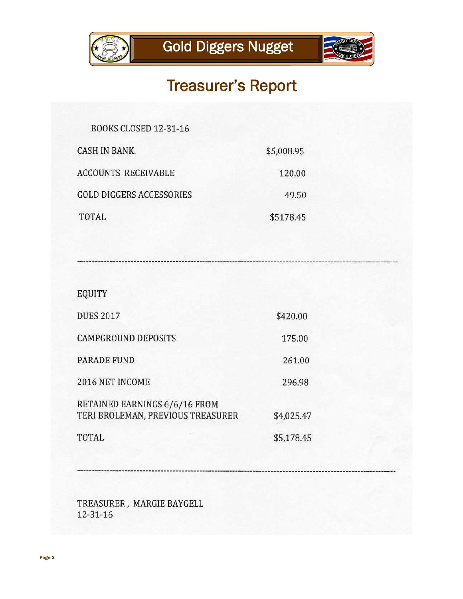



# Treasurer's Report

| <b>BOOKS CLOSED 12-31-16</b>    |            |
|---------------------------------|------------|
| <b>CASH IN BANK.</b>            | \$5,008.95 |
| <b>ACCOUNTS RECEIVABLE</b>      | 120.00     |
| <b>GOLD DIGGERS ACCESSORIES</b> | 49.50      |
| TOTAL                           | \$5178.45  |

EQUITY

| <b>DUES 2017</b>                                                   | \$420.00   |
|--------------------------------------------------------------------|------------|
| <b>CAMPGROUND DEPOSITS</b>                                         | 175.00     |
| <b>PARADE FUND</b>                                                 | 261.00     |
| 2016 NET INCOME                                                    | 296.98     |
| RETAINED EARNINGS 6/6/16 FROM<br>TERI BROLEMAN, PREVIOUS TREASURER | \$4,025.47 |
| <b>TOTAL</b>                                                       | \$5,178.45 |

TREASURER, MARGIE BAYGELL  $12 - 31 - 16$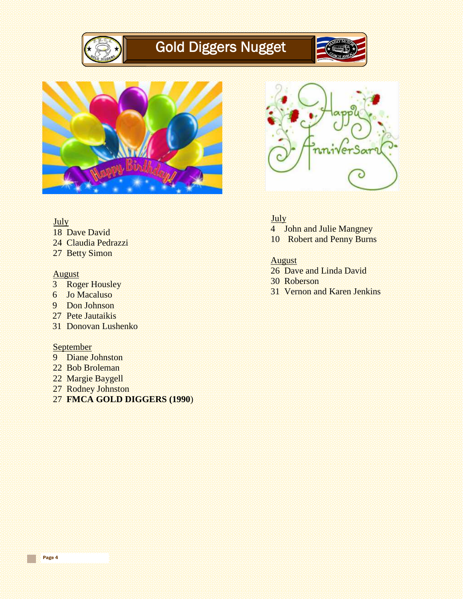

# Gold Diggers Nugget





#### July

- 18 Dave David
- 24 Claudia Pedrazzi
- 27 Betty Simon

#### August

- 3 Roger Housley
- 6 Jo Macaluso
- 9 Don Johnson
- 27 Pete Jautaikis
- 31 Donovan Lushenko

#### **September**

- 9 Diane Johnston
- 22 Bob Broleman
- 22 Margie Baygell
- 27 Rodney Johnston
- 27 **FMCA GOLD DIGGERS (1990**)



#### July

- 4 John and Julie Mangney
- 10 Robert and Penny Burns

#### August

- 26 Dave and Linda David
- 30 Roberson
- 31 Vernon and Karen Jenkins